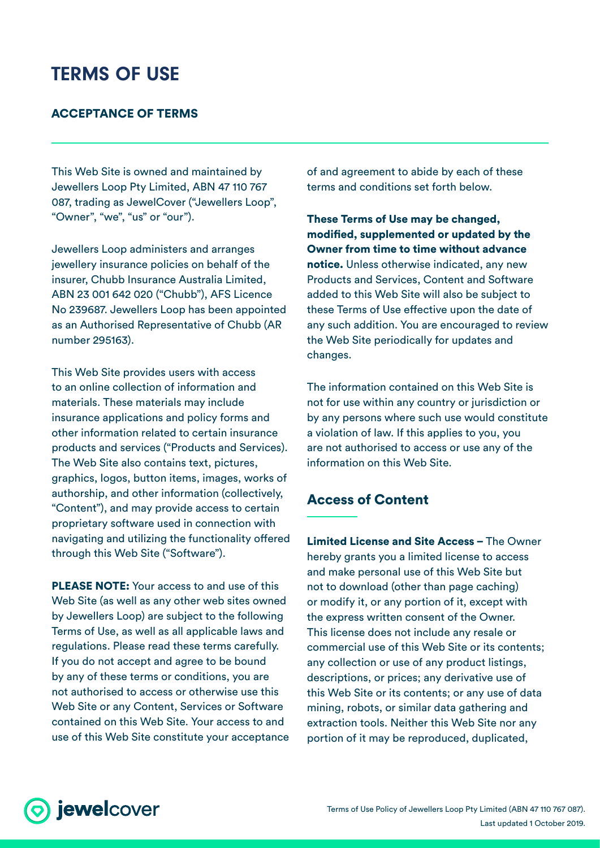# TERMS OF USE

#### ACCEPTANCE OF TERMS

This Web Site is owned and maintained by Jewellers Loop Pty Limited, ABN 47 110 767 087, trading as JewelCover ("Jewellers Loop", "Owner", "we", "us" or "our").

Jewellers Loop administers and arranges jewellery insurance policies on behalf of the insurer, Chubb Insurance Australia Limited, ABN 23 001 642 020 ("Chubb"), AFS Licence No 239687. Jewellers Loop has been appointed as an Authorised Representative of Chubb (AR number 295163).

This Web Site provides users with access to an online collection of information and materials. These materials may include insurance applications and policy forms and other information related to certain insurance products and services ("Products and Services). The Web Site also contains text, pictures, graphics, logos, button items, images, works of authorship, and other information (collectively, "Content"), and may provide access to certain proprietary software used in connection with navigating and utilizing the functionality offered through this Web Site ("Software").

PLEASE NOTE: Your access to and use of this Web Site (as well as any other web sites owned by Jewellers Loop) are subject to the following Terms of Use, as well as all applicable laws and regulations. Please read these terms carefully. If you do not accept and agree to be bound by any of these terms or conditions, you are not authorised to access or otherwise use this Web Site or any Content, Services or Software contained on this Web Site. Your access to and use of this Web Site constitute your acceptance of and agreement to abide by each of these terms and conditions set forth below.

These Terms of Use may be changed, modified, supplemented or updated by the Owner from time to time without advance notice. Unless otherwise indicated, any new Products and Services, Content and Software added to this Web Site will also be subject to these Terms of Use effective upon the date of any such addition. You are encouraged to review the Web Site periodically for updates and changes.

The information contained on this Web Site is not for use within any country or jurisdiction or by any persons where such use would constitute a violation of law. If this applies to you, you are not authorised to access or use any of the information on this Web Site.

## Access of Content

Limited License and Site Access – The Owner hereby grants you a limited license to access and make personal use of this Web Site but not to download (other than page caching) or modify it, or any portion of it, except with the express written consent of the Owner. This license does not include any resale or commercial use of this Web Site or its contents; any collection or use of any product listings, descriptions, or prices; any derivative use of this Web Site or its contents; or any use of data mining, robots, or similar data gathering and extraction tools. Neither this Web Site nor any portion of it may be reproduced, duplicated,

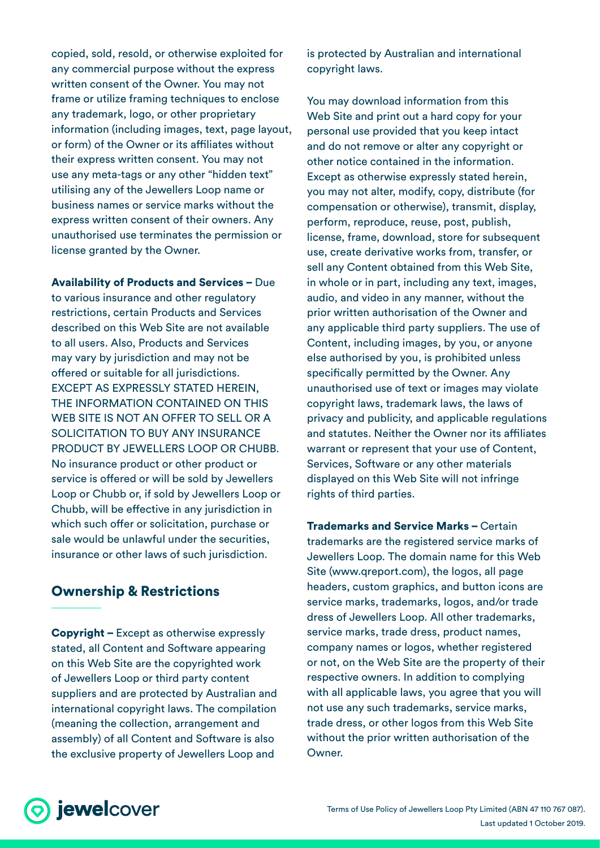copied, sold, resold, or otherwise exploited for any commercial purpose without the express written consent of the Owner. You may not frame or utilize framing techniques to enclose any trademark, logo, or other proprietary information (including images, text, page layout, or form) of the Owner or its affiliates without their express written consent. You may not use any meta-tags or any other "hidden text" utilising any of the Jewellers Loop name or business names or service marks without the express written consent of their owners. Any unauthorised use terminates the permission or license granted by the Owner.

Availability of Products and Services – Due to various insurance and other regulatory restrictions, certain Products and Services described on this Web Site are not available to all users. Also, Products and Services may vary by jurisdiction and may not be offered or suitable for all jurisdictions. EXCEPT AS EXPRESSLY STATED HEREIN, THE INFORMATION CONTAINED ON THIS WEB SITE IS NOT AN OFFER TO SELL OR A SOLICITATION TO BUY ANY INSURANCE PRODUCT BY JEWELLERS LOOP OR CHUBB. No insurance product or other product or service is offered or will be sold by Jewellers Loop or Chubb or, if sold by Jewellers Loop or Chubb, will be effective in any jurisdiction in which such offer or solicitation, purchase or sale would be unlawful under the securities, insurance or other laws of such jurisdiction.

## Ownership & Restrictions

Copyright – Except as otherwise expressly stated, all Content and Software appearing on this Web Site are the copyrighted work of Jewellers Loop or third party content suppliers and are protected by Australian and international copyright laws. The compilation (meaning the collection, arrangement and assembly) of all Content and Software is also the exclusive property of Jewellers Loop and

is protected by Australian and international copyright laws.

You may download information from this Web Site and print out a hard copy for your personal use provided that you keep intact and do not remove or alter any copyright or other notice contained in the information. Except as otherwise expressly stated herein, you may not alter, modify, copy, distribute (for compensation or otherwise), transmit, display, perform, reproduce, reuse, post, publish, license, frame, download, store for subsequent use, create derivative works from, transfer, or sell any Content obtained from this Web Site, in whole or in part, including any text, images, audio, and video in any manner, without the prior written authorisation of the Owner and any applicable third party suppliers. The use of Content, including images, by you, or anyone else authorised by you, is prohibited unless specifically permitted by the Owner. Any unauthorised use of text or images may violate copyright laws, trademark laws, the laws of privacy and publicity, and applicable regulations and statutes. Neither the Owner nor its affiliates warrant or represent that your use of Content, Services, Software or any other materials displayed on this Web Site will not infringe rights of third parties.

Trademarks and Service Marks – Certain trademarks are the registered service marks of Jewellers Loop. The domain name for this Web Site (www.qreport.com), the logos, all page headers, custom graphics, and button icons are service marks, trademarks, logos, and/or trade dress of Jewellers Loop. All other trademarks, service marks, trade dress, product names, company names or logos, whether registered or not, on the Web Site are the property of their respective owners. In addition to complying with all applicable laws, you agree that you will not use any such trademarks, service marks, trade dress, or other logos from this Web Site without the prior written authorisation of the Owner.

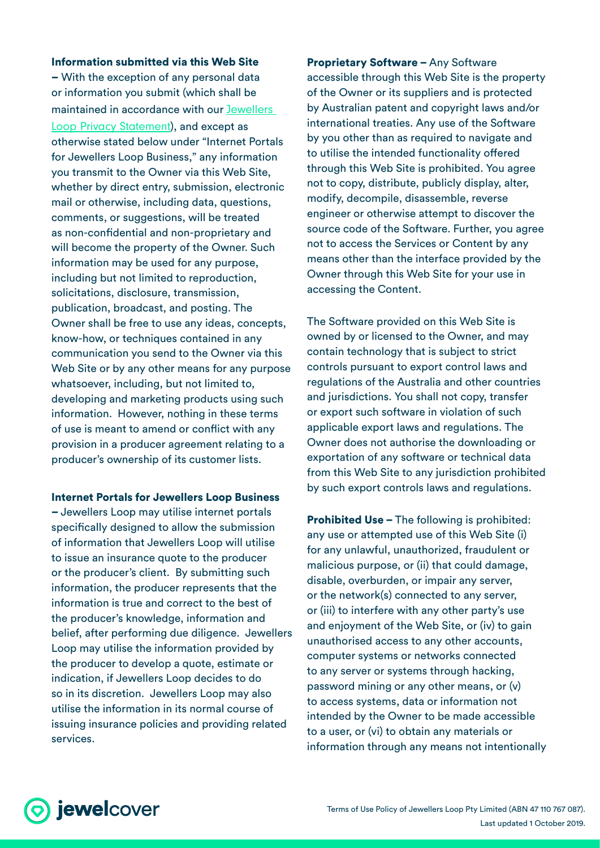Information submitted via this Web Site – With the exception of any personal data or information you submit (which shall be maintained in accordance with our [Jewellers](https://www.jewelcover.com.au/hubfs/(JC)%20legal%20documents/JewelCover%20Privacy%20Statement.pdf)  [Loop Privacy Statement](https://www.jewelcover.com.au/hubfs/(JC)%20legal%20documents/JewelCover%20Privacy%20Statement.pdf)), and except as otherwise stated below under "Internet Portals for Jewellers Loop Business," any information you transmit to the Owner via this Web Site, whether by direct entry, submission, electronic mail or otherwise, including data, questions, comments, or suggestions, will be treated as non-confidential and non-proprietary and will become the property of the Owner. Such information may be used for any purpose, including but not limited to reproduction, solicitations, disclosure, transmission, publication, broadcast, and posting. The Owner shall be free to use any ideas, concepts, know-how, or techniques contained in any communication you send to the Owner via this Web Site or by any other means for any purpose whatsoever, including, but not limited to, developing and marketing products using such information. However, nothing in these terms of use is meant to amend or conflict with any provision in a producer agreement relating to a producer's ownership of its customer lists.

Internet Portals for Jewellers Loop Business – Jewellers Loop may utilise internet portals specifically designed to allow the submission of information that Jewellers Loop will utilise to issue an insurance quote to the producer or the producer's client. By submitting such information, the producer represents that the information is true and correct to the best of the producer's knowledge, information and belief, after performing due diligence. Jewellers Loop may utilise the information provided by the producer to develop a quote, estimate or indication, if Jewellers Loop decides to do so in its discretion. Jewellers Loop may also utilise the information in its normal course of issuing insurance policies and providing related services.

Proprietary Software – Any Software accessible through this Web Site is the property of the Owner or its suppliers and is protected by Australian patent and copyright laws and/or international treaties. Any use of the Software by you other than as required to navigate and to utilise the intended functionality offered through this Web Site is prohibited. You agree not to copy, distribute, publicly display, alter, modify, decompile, disassemble, reverse engineer or otherwise attempt to discover the source code of the Software. Further, you agree not to access the Services or Content by any means other than the interface provided by the Owner through this Web Site for your use in accessing the Content.

The Software provided on this Web Site is owned by or licensed to the Owner, and may contain technology that is subject to strict controls pursuant to export control laws and regulations of the Australia and other countries and jurisdictions. You shall not copy, transfer or export such software in violation of such applicable export laws and regulations. The Owner does not authorise the downloading or exportation of any software or technical data from this Web Site to any jurisdiction prohibited by such export controls laws and regulations.

Prohibited Use – The following is prohibited: any use or attempted use of this Web Site (i) for any unlawful, unauthorized, fraudulent or malicious purpose, or (ii) that could damage, disable, overburden, or impair any server, or the network(s) connected to any server, or (iii) to interfere with any other party's use and enjoyment of the Web Site, or (iv) to gain unauthorised access to any other accounts, computer systems or networks connected to any server or systems through hacking, password mining or any other means, or (v) to access systems, data or information not intended by the Owner to be made accessible to a user, or (vi) to obtain any materials or information through any means not intentionally

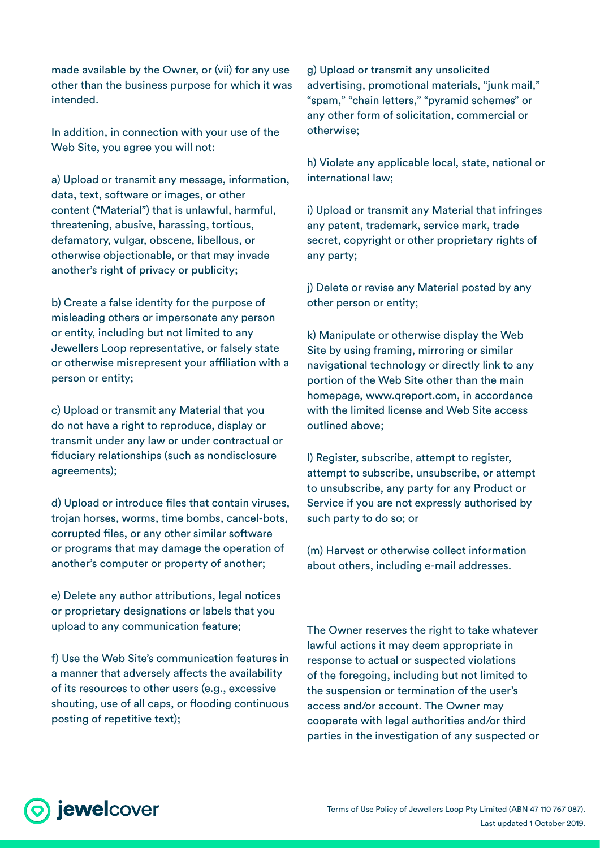made available by the Owner, or (vii) for any use other than the business purpose for which it was intended.

In addition, in connection with your use of the Web Site, you agree you will not:

a) Upload or transmit any message, information, data, text, software or images, or other content ("Material") that is unlawful, harmful, threatening, abusive, harassing, tortious, defamatory, vulgar, obscene, libellous, or otherwise objectionable, or that may invade another's right of privacy or publicity;

b) Create a false identity for the purpose of misleading others or impersonate any person or entity, including but not limited to any Jewellers Loop representative, or falsely state or otherwise misrepresent your affiliation with a person or entity;

c) Upload or transmit any Material that you do not have a right to reproduce, display or transmit under any law or under contractual or fiduciary relationships (such as nondisclosure agreements);

d) Upload or introduce files that contain viruses, trojan horses, worms, time bombs, cancel-bots, corrupted files, or any other similar software or programs that may damage the operation of another's computer or property of another;

e) Delete any author attributions, legal notices or proprietary designations or labels that you upload to any communication feature;

f) Use the Web Site's communication features in a manner that adversely affects the availability of its resources to other users (e.g., excessive shouting, use of all caps, or flooding continuous posting of repetitive text);

g) Upload or transmit any unsolicited advertising, promotional materials, "junk mail," "spam," "chain letters," "pyramid schemes" or any other form of solicitation, commercial or otherwise;

h) Violate any applicable local, state, national or international law;

i) Upload or transmit any Material that infringes any patent, trademark, service mark, trade secret, copyright or other proprietary rights of any party;

j) Delete or revise any Material posted by any other person or entity;

k) Manipulate or otherwise display the Web Site by using framing, mirroring or similar navigational technology or directly link to any portion of the Web Site other than the main homepage, www.qreport.com, in accordance with the limited license and Web Site access outlined above;

l) Register, subscribe, attempt to register, attempt to subscribe, unsubscribe, or attempt to unsubscribe, any party for any Product or Service if you are not expressly authorised by such party to do so; or

(m) Harvest or otherwise collect information about others, including e-mail addresses.

The Owner reserves the right to take whatever lawful actions it may deem appropriate in response to actual or suspected violations of the foregoing, including but not limited to the suspension or termination of the user's access and/or account. The Owner may cooperate with legal authorities and/or third parties in the investigation of any suspected or

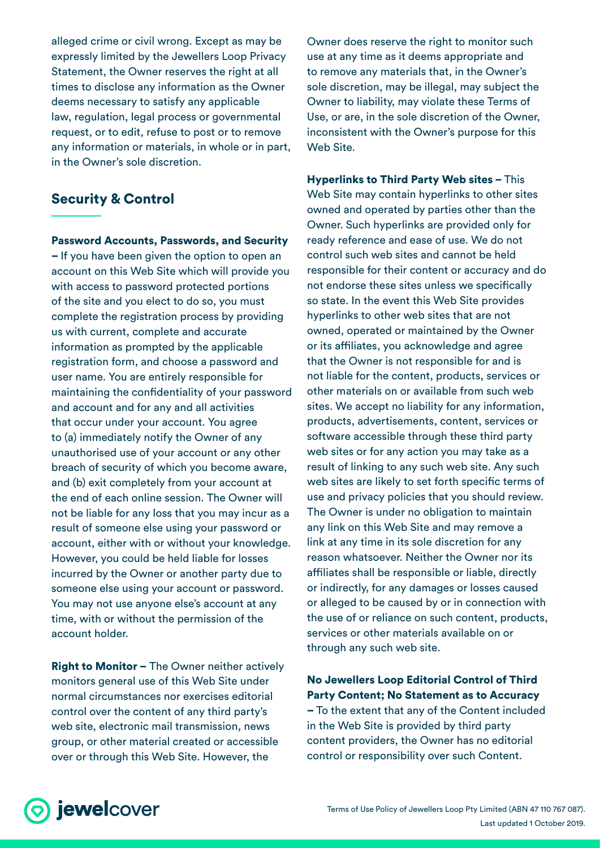alleged crime or civil wrong. Except as may be expressly limited by the Jewellers Loop Privacy Statement, the Owner reserves the right at all times to disclose any information as the Owner deems necessary to satisfy any applicable law, regulation, legal process or governmental request, or to edit, refuse to post or to remove any information or materials, in whole or in part, in the Owner's sole discretion.

## Security & Control

Password Accounts, Passwords, and Security – If you have been given the option to open an account on this Web Site which will provide you with access to password protected portions of the site and you elect to do so, you must complete the registration process by providing us with current, complete and accurate information as prompted by the applicable registration form, and choose a password and user name. You are entirely responsible for maintaining the confidentiality of your password and account and for any and all activities that occur under your account. You agree to (a) immediately notify the Owner of any unauthorised use of your account or any other breach of security of which you become aware, and (b) exit completely from your account at the end of each online session. The Owner will not be liable for any loss that you may incur as a result of someone else using your password or account, either with or without your knowledge. However, you could be held liable for losses incurred by the Owner or another party due to someone else using your account or password. You may not use anyone else's account at any time, with or without the permission of the account holder.

**Right to Monitor - The Owner neither actively** monitors general use of this Web Site under normal circumstances nor exercises editorial control over the content of any third party's web site, electronic mail transmission, news group, or other material created or accessible over or through this Web Site. However, the

Owner does reserve the right to monitor such use at any time as it deems appropriate and to remove any materials that, in the Owner's sole discretion, may be illegal, may subject the Owner to liability, may violate these Terms of Use, or are, in the sole discretion of the Owner, inconsistent with the Owner's purpose for this Web Site.

Hyperlinks to Third Party Web sites – This Web Site may contain hyperlinks to other sites owned and operated by parties other than the Owner. Such hyperlinks are provided only for ready reference and ease of use. We do not control such web sites and cannot be held responsible for their content or accuracy and do not endorse these sites unless we specifically so state. In the event this Web Site provides hyperlinks to other web sites that are not owned, operated or maintained by the Owner or its affiliates, you acknowledge and agree that the Owner is not responsible for and is not liable for the content, products, services or other materials on or available from such web sites. We accept no liability for any information, products, advertisements, content, services or software accessible through these third party web sites or for any action you may take as a result of linking to any such web site. Any such web sites are likely to set forth specific terms of use and privacy policies that you should review. The Owner is under no obligation to maintain any link on this Web Site and may remove a link at any time in its sole discretion for any reason whatsoever. Neither the Owner nor its affiliates shall be responsible or liable, directly or indirectly, for any damages or losses caused or alleged to be caused by or in connection with the use of or reliance on such content, products, services or other materials available on or through any such web site.

No Jewellers Loop Editorial Control of Third Party Content; No Statement as to Accuracy – To the extent that any of the Content included

in the Web Site is provided by third party content providers, the Owner has no editorial control or responsibility over such Content.

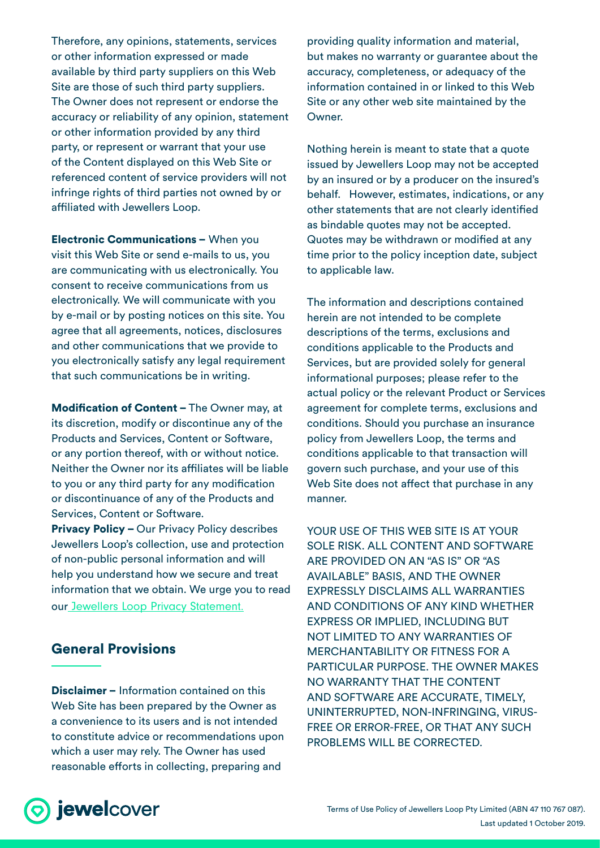Therefore, any opinions, statements, services or other information expressed or made available by third party suppliers on this Web Site are those of such third party suppliers. The Owner does not represent or endorse the accuracy or reliability of any opinion, statement or other information provided by any third party, or represent or warrant that your use of the Content displayed on this Web Site or referenced content of service providers will not infringe rights of third parties not owned by or affiliated with Jewellers Loop.

Electronic Communications – When you visit this Web Site or send e-mails to us, you are communicating with us electronically. You consent to receive communications from us electronically. We will communicate with you by e-mail or by posting notices on this site. You agree that all agreements, notices, disclosures and other communications that we provide to you electronically satisfy any legal requirement that such communications be in writing.

Modification of Content – The Owner may, at its discretion, modify or discontinue any of the Products and Services, Content or Software, or any portion thereof, with or without notice. Neither the Owner nor its affiliates will be liable to you or any third party for any modification or discontinuance of any of the Products and Services, Content or Software. Privacy Policy – Our Privacy Policy describes Jewellers Loop's collection, use and protection of non-public personal information and will help you understand how we secure and treat information that we obtain. We urge you to read our [Jewellers Loop Privacy Statement.](https://www.jewelcover.com.au/hubfs/(JC)%20legal%20documents/JewelCover%20Privacy%20Statement.pdf)

#### General Provisions

Disclaimer – Information contained on this Web Site has been prepared by the Owner as a convenience to its users and is not intended to constitute advice or recommendations upon which a user may rely. The Owner has used reasonable efforts in collecting, preparing and

providing quality information and material, but makes no warranty or guarantee about the accuracy, completeness, or adequacy of the information contained in or linked to this Web Site or any other web site maintained by the Owner.

Nothing herein is meant to state that a quote issued by Jewellers Loop may not be accepted by an insured or by a producer on the insured's behalf. However, estimates, indications, or any other statements that are not clearly identified as bindable quotes may not be accepted. Quotes may be withdrawn or modified at any time prior to the policy inception date, subject to applicable law.

The information and descriptions contained herein are not intended to be complete descriptions of the terms, exclusions and conditions applicable to the Products and Services, but are provided solely for general informational purposes; please refer to the actual policy or the relevant Product or Services agreement for complete terms, exclusions and conditions. Should you purchase an insurance policy from Jewellers Loop, the terms and conditions applicable to that transaction will govern such purchase, and your use of this Web Site does not affect that purchase in any manner.

YOUR USE OF THIS WEB SITE IS AT YOUR SOLE RISK. ALL CONTENT AND SOFTWARE ARE PROVIDED ON AN "AS IS" OR "AS AVAILABLE" BASIS, AND THE OWNER EXPRESSLY DISCLAIMS ALL WARRANTIES AND CONDITIONS OF ANY KIND WHETHER EXPRESS OR IMPLIED, INCLUDING BUT NOT LIMITED TO ANY WARRANTIES OF MERCHANTABILITY OR FITNESS FOR A PARTICULAR PURPOSE. THE OWNER MAKES NO WARRANTY THAT THE CONTENT AND SOFTWARE ARE ACCURATE, TIMELY, UNINTERRUPTED, NON-INFRINGING, VIRUS-FREE OR ERROR-FREE, OR THAT ANY SUCH PROBLEMS WILL BE CORRECTED.

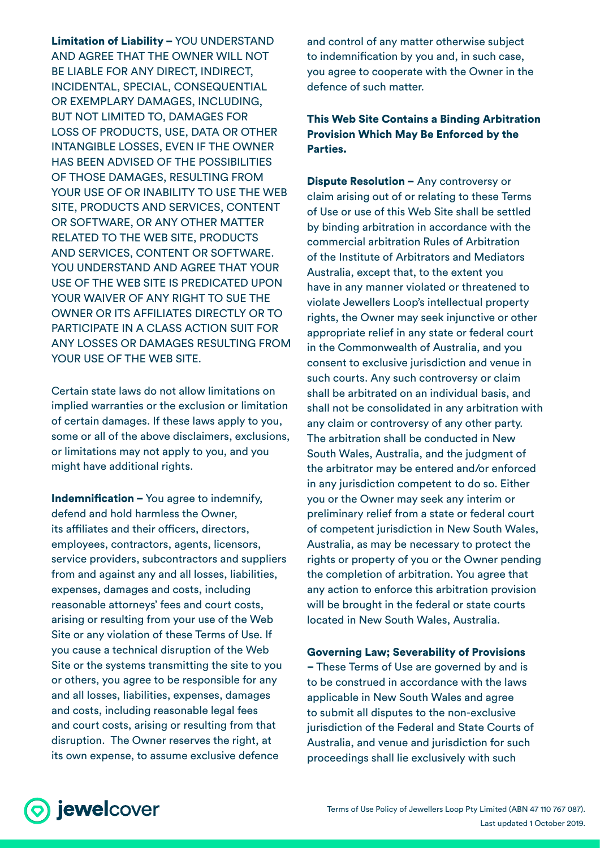Limitation of Liability – YOU UNDERSTAND AND AGREE THAT THE OWNER WILL NOT BE LIABLE FOR ANY DIRECT, INDIRECT, INCIDENTAL, SPECIAL, CONSEQUENTIAL OR EXEMPLARY DAMAGES, INCLUDING, BUT NOT LIMITED TO, DAMAGES FOR LOSS OF PRODUCTS, USE, DATA OR OTHER INTANGIBLE LOSSES, EVEN IF THE OWNER HAS BEEN ADVISED OF THE POSSIBILITIES OF THOSE DAMAGES, RESULTING FROM YOUR USE OF OR INABILITY TO USE THE WEB SITE, PRODUCTS AND SERVICES, CONTENT OR SOFTWARE, OR ANY OTHER MATTER RELATED TO THE WEB SITE, PRODUCTS AND SERVICES, CONTENT OR SOFTWARE. YOU UNDERSTAND AND AGREE THAT YOUR USE OF THE WEB SITE IS PREDICATED UPON YOUR WAIVER OF ANY RIGHT TO SUE THE OWNER OR ITS AFFILIATES DIRECTLY OR TO PARTICIPATE IN A CLASS ACTION SUIT FOR ANY LOSSES OR DAMAGES RESULTING FROM YOUR USE OF THE WEB SITE.

Certain state laws do not allow limitations on implied warranties or the exclusion or limitation of certain damages. If these laws apply to you, some or all of the above disclaimers, exclusions, or limitations may not apply to you, and you might have additional rights.

Indemnification - You agree to indemnify, defend and hold harmless the Owner, its affiliates and their officers, directors, employees, contractors, agents, licensors, service providers, subcontractors and suppliers from and against any and all losses, liabilities, expenses, damages and costs, including reasonable attorneys' fees and court costs, arising or resulting from your use of the Web Site or any violation of these Terms of Use. If you cause a technical disruption of the Web Site or the systems transmitting the site to you or others, you agree to be responsible for any and all losses, liabilities, expenses, damages and costs, including reasonable legal fees and court costs, arising or resulting from that disruption. The Owner reserves the right, at its own expense, to assume exclusive defence

and control of any matter otherwise subject to indemnification by you and, in such case, you agree to cooperate with the Owner in the defence of such matter.

#### This Web Site Contains a Binding Arbitration Provision Which May Be Enforced by the Parties.

Dispute Resolution – Any controversy or claim arising out of or relating to these Terms of Use or use of this Web Site shall be settled by binding arbitration in accordance with the commercial arbitration Rules of Arbitration of the Institute of Arbitrators and Mediators Australia, except that, to the extent you have in any manner violated or threatened to violate Jewellers Loop's intellectual property rights, the Owner may seek injunctive or other appropriate relief in any state or federal court in the Commonwealth of Australia, and you consent to exclusive jurisdiction and venue in such courts. Any such controversy or claim shall be arbitrated on an individual basis, and shall not be consolidated in any arbitration with any claim or controversy of any other party. The arbitration shall be conducted in New South Wales, Australia, and the judgment of the arbitrator may be entered and/or enforced in any jurisdiction competent to do so. Either you or the Owner may seek any interim or preliminary relief from a state or federal court of competent jurisdiction in New South Wales, Australia, as may be necessary to protect the rights or property of you or the Owner pending the completion of arbitration. You agree that any action to enforce this arbitration provision will be brought in the federal or state courts located in New South Wales, Australia.

Governing Law; Severability of Provisions

– These Terms of Use are governed by and is to be construed in accordance with the laws applicable in New South Wales and agree to submit all disputes to the non-exclusive jurisdiction of the Federal and State Courts of Australia, and venue and jurisdiction for such proceedings shall lie exclusively with such